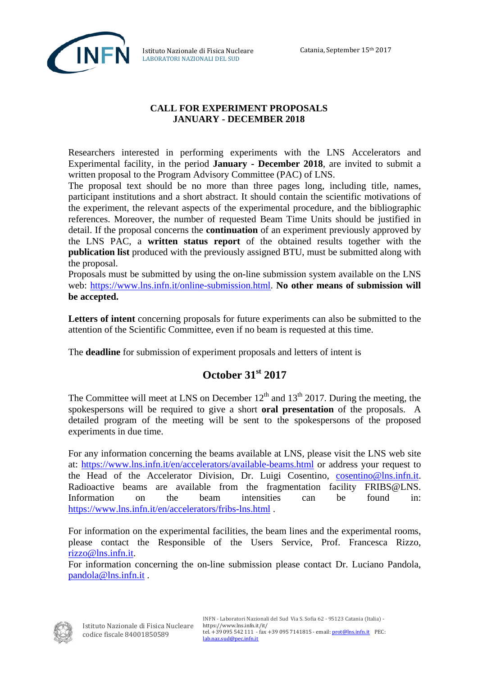

Istituto Nazionale di Fisica Nucleare LABORATORI NAZIONALI DEL SUD

## **CALL FOR EXPERIMENT PROPOSALS JANUARY - DECEMBER 2018**

Researchers interested in performing experiments with the LNS Accelerators and Experimental facility, in the period **January - December 2018**, are invited to submit a written proposal to the Program Advisory Committee (PAC) of LNS.

The proposal text should be no more than three pages long, including title, names, participant institutions and a short abstract. It should contain the scientific motivations of the experiment, the relevant aspects of the experimental procedure, and the bibliographic references. Moreover, the number of requested Beam Time Units should be justified in detail. If the proposal concerns the **continuation** of an experiment previously approved by the LNS PAC, a **written status report** of the obtained results together with the **publication list** produced with the previously assigned BTU, must be submitted along with the proposal.

Proposals must be submitted by using the on-line submission system available on the LNS web: [https://www.lns.infn.it/online-submission.html.](https://www.lns.infn.it/online-submission.html) **No other means of submission will be accepted.** 

**Letters of intent** concerning proposals for future experiments can also be submitted to the attention of the Scientific Committee, even if no beam is requested at this time.

The **deadline** for submission of experiment proposals and letters of intent is

## **October 31st 2017**

The Committee will meet at LNS on December  $12<sup>th</sup>$  and  $13<sup>th</sup>$  2017. During the meeting, the spokespersons will be required to give a short **oral presentation** of the proposals. A detailed program of the meeting will be sent to the spokespersons of the proposed experiments in due time.

For any information concerning the beams available at LNS, please visit the LNS web site at:<https://www.lns.infn.it/en/accelerators/available-beams.html> or address your request to the Head of the Accelerator Division, Dr. Luigi Cosentino, [cosentino@lns.infn.it.](mailto:cosentino@lns.infn.it) Radioactive beams are available from the fragmentation facility FRIBS@LNS. Information on the beam intensities can be found in: <https://www.lns.infn.it/en/accelerators/fribs-lns.html> .

For information on the experimental facilities, the beam lines and the experimental rooms, please contact the Responsible of the Users Service, Prof. Francesca Rizzo, [rizzo@lns.infn.it.](mailto:rizzo@lns.infn.it)

For information concerning the on-line submission please contact Dr. Luciano Pandola, [pandola@lns.infn.it](mailto:pandola@lns.infn.it) .